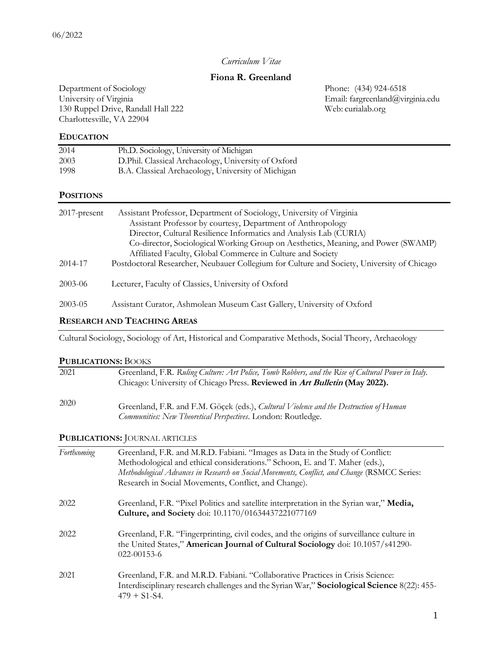## *Curriculum Vitae*

# **Fiona R. Greenland**

Department of Sociology Phone: (434) 924-6518 University of Virginia Email: [fargreenland@virginia.edu](mailto:fargreenland@virginia.edu) 130 Ruppel Drive, Randall Hall 222 Web: curialab.org Charlottesville, VA 22904

### **EDUCATION**

| 2014 | Ph.D. Sociology, University of Michigan             |
|------|-----------------------------------------------------|
| 2003 | D.Phil. Classical Archaeology, University of Oxford |
| 1998 | B.A. Classical Archaeology, University of Michigan  |

### **POSITIONS**

| $2017$ -present | Assistant Professor, Department of Sociology, University of Virginia<br>Assistant Professor by courtesy, Department of Anthropology<br>Director, Cultural Resilience Informatics and Analysis Lab (CURIA) |
|-----------------|-----------------------------------------------------------------------------------------------------------------------------------------------------------------------------------------------------------|
|                 | Co-director, Sociological Working Group on Aesthetics, Meaning, and Power (SWAMP)<br>Affiliated Faculty, Global Commerce in Culture and Society                                                           |
| 2014-17         | Postdoctoral Researcher, Neubauer Collegium for Culture and Society, University of Chicago                                                                                                                |
| $2003 - 06$     | Lecturer, Faculty of Classics, University of Oxford                                                                                                                                                       |
| $2003 - 05$     | Assistant Curator, Ashmolean Museum Cast Gallery, University of Oxford                                                                                                                                    |

## **RESEARCH AND TEACHING AREAS**

Cultural Sociology, Sociology of Art, Historical and Comparative Methods, Social Theory, Archaeology

### **PUBLICATIONS:** BOOKS

| 2021 | Greenland, F.R. Ruling Culture: Art Police, Tomb Robbers, and the Rise of Cultural Power in Italy.<br>Chicago: University of Chicago Press. Reviewed in Art Bulletin (May 2022). |
|------|----------------------------------------------------------------------------------------------------------------------------------------------------------------------------------|
| 2020 | Greenland, F.R. and F.M. Göcek (eds.), Cultural Violence and the Destruction of Human<br>Communities: New Theoretical Perspectives. London: Routledge.                           |

### **PUBLICATIONS:** JOURNAL ARTICLES

| Forthcoming | Greenland, F.R. and M.R.D. Fabiani. "Images as Data in the Study of Conflict:<br>Methodological and ethical considerations." Schoon, E. and T. Maher (eds.),<br>Methodological Advances in Research on Social Movements, Conflict, and Change (RSMCC Series:<br>Research in Social Movements, Conflict, and Change). |
|-------------|----------------------------------------------------------------------------------------------------------------------------------------------------------------------------------------------------------------------------------------------------------------------------------------------------------------------|
| 2022        | Greenland, F.R. "Pixel Politics and satellite interpretation in the Syrian war," Media,<br>Culture, and Society doi: 10.1170/01634437221077169                                                                                                                                                                       |
| 2022        | Greenland, F.R. "Fingerprinting, civil codes, and the origins of surveillance culture in<br>the United States," American Journal of Cultural Sociology doi: 10.1057/s41290-<br>$022 - 00153 - 6$                                                                                                                     |
| 2021        | Greenland, F.R. and M.R.D. Fabiani. "Collaborative Practices in Crisis Science:<br>Interdisciplinary research challenges and the Syrian War," Sociological Science 8(22): 455-<br>$479 + S1-S4$ .                                                                                                                    |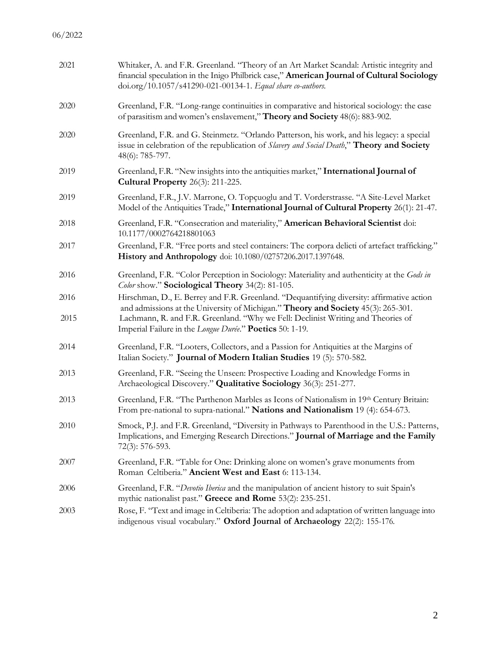| 2021         | Whitaker, A. and F.R. Greenland. "Theory of an Art Market Scandal: Artistic integrity and<br>financial speculation in the Inigo Philbrick case," American Journal of Cultural Sociology<br>doi.org/10.1057/s41290-021-00134-1. Equal share co-authors.                                                                         |
|--------------|--------------------------------------------------------------------------------------------------------------------------------------------------------------------------------------------------------------------------------------------------------------------------------------------------------------------------------|
| 2020         | Greenland, F.R. "Long-range continuities in comparative and historical sociology: the case<br>of parasitism and women's enslavement," Theory and Society 48(6): 883-902.                                                                                                                                                       |
| 2020         | Greenland, F.R. and G. Steinmetz. "Orlando Patterson, his work, and his legacy: a special<br>issue in celebration of the republication of <i>Slavery and Social Death</i> ," <b>Theory and Society</b><br>48(6): 785-797.                                                                                                      |
| 2019         | Greenland, F.R. "New insights into the antiquities market," International Journal of<br><b>Cultural Property</b> 26(3): 211-225.                                                                                                                                                                                               |
| 2019         | Greenland, F.R., J.V. Marrone, O. Topçuoglu and T. Vorderstrasse. "A Site-Level Market<br>Model of the Antiquities Trade," International Journal of Cultural Property 26(1): 21-47.                                                                                                                                            |
| 2018         | Greenland, F.R. "Consecration and materiality," American Behavioral Scientist doi:<br>10.1177/0002764218801063                                                                                                                                                                                                                 |
| 2017         | Greenland, F.R. "Free ports and steel containers: The corpora delicti of artefact trafficking."<br>History and Anthropology doi: 10.1080/02757206.2017.1397648.                                                                                                                                                                |
| 2016         | Greenland, F.R. "Color Perception in Sociology: Materiality and authenticity at the Gods in<br>Color show." Sociological Theory 34(2): 81-105.                                                                                                                                                                                 |
| 2016<br>2015 | Hirschman, D., E. Berrey and F.R. Greenland. "Dequantifying diversity: affirmative action<br>and admissions at the University of Michigan." Theory and Society 45(3): 265-301.<br>Lachmann, R. and F.R. Greenland. "Why we Fell: Declinist Writing and Theories of<br>Imperial Failure in the Longue Durée." Poetics 50: 1-19. |
| 2014         | Greenland, F.R. "Looters, Collectors, and a Passion for Antiquities at the Margins of<br>Italian Society." Journal of Modern Italian Studies 19 (5): 570-582.                                                                                                                                                                  |
| 2013         | Greenland, F.R. "Seeing the Unseen: Prospective Loading and Knowledge Forms in<br>Archaeological Discovery." Qualitative Sociology 36(3): 251-277.                                                                                                                                                                             |
| 2013         | Greenland, F.R. "The Parthenon Marbles as Icons of Nationalism in 19th Century Britain:<br>From pre-national to supra-national." Nations and Nationalism 19 (4): 654-673.                                                                                                                                                      |
| 2010         | Smock, P.J. and F.R. Greenland, "Diversity in Pathways to Parenthood in the U.S.: Patterns,<br>Implications, and Emerging Research Directions." Journal of Marriage and the Family<br>72(3): 576-593.                                                                                                                          |
| 2007         | Greenland, F.R. "Table for One: Drinking alone on women's grave monuments from<br>Roman Celtiberia." Ancient West and East 6: 113-134.                                                                                                                                                                                         |
| 2006         | Greenland, F.R. "Devotio Iberica and the manipulation of ancient history to suit Spain's<br>mythic nationalist past." Greece and Rome 53(2): 235-251.                                                                                                                                                                          |
| 2003         | Rose, F. "Text and image in Celtiberia: The adoption and adaptation of written language into<br>indigenous visual vocabulary." Oxford Journal of Archaeology 22(2): 155-176.                                                                                                                                                   |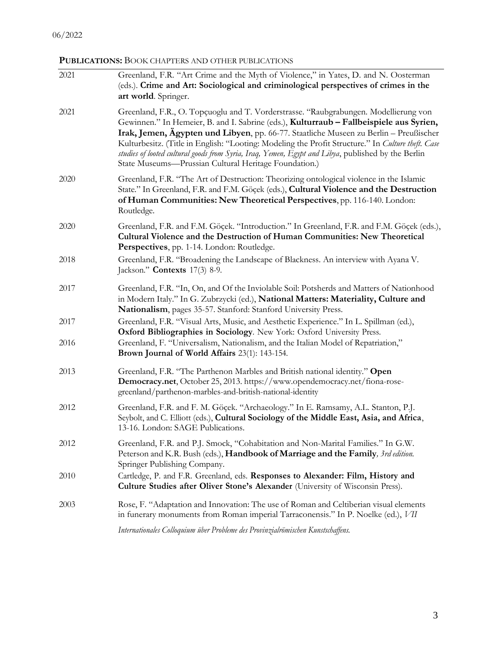# **PUBLICATIONS:** BOOK CHAPTERS AND OTHER PUBLICATIONS

| 2021         | Greenland, F.R. "Art Crime and the Myth of Violence," in Yates, D. and N. Oosterman<br>(eds.). Crime and Art: Sociological and criminological perspectives of crimes in the<br>art world. Springer.                                                                                                                                                                                                                                                                                                                                          |
|--------------|----------------------------------------------------------------------------------------------------------------------------------------------------------------------------------------------------------------------------------------------------------------------------------------------------------------------------------------------------------------------------------------------------------------------------------------------------------------------------------------------------------------------------------------------|
| 2021         | Greenland, F.R., O. Topçuoglu and T. Vorderstrasse. "Raubgrabungen. Modellierung von<br>Gewinnen." In Hemeier, B. and I. Sabrine (eds.), Kulturraub - Fallbeispiele aus Syrien,<br>Irak, Jemen, Ägypten und Libyen, pp. 66-77. Staatliche Museen zu Berlin – Preußischer<br>Kulturbesitz. (Title in English: "Looting: Modeling the Profit Structure." In Culture theft. Case<br>studies of looted cultural goods from Syria, Iraq, Yemen, Egypt and Libya, published by the Berlin<br>State Museums-Prussian Cultural Heritage Foundation.) |
| 2020         | Greenland, F.R. "The Art of Destruction: Theorizing ontological violence in the Islamic<br>State." In Greenland, F.R. and F.M. Göçek (eds.), Cultural Violence and the Destruction<br>of Human Communities: New Theoretical Perspectives, pp. 116-140. London:<br>Routledge.                                                                                                                                                                                                                                                                 |
| 2020         | Greenland, F.R. and F.M. Göçek. "Introduction." In Greenland, F.R. and F.M. Göçek (eds.),<br>Cultural Violence and the Destruction of Human Communities: New Theoretical<br>Perspectives, pp. 1-14. London: Routledge.                                                                                                                                                                                                                                                                                                                       |
| 2018         | Greenland, F.R. "Broadening the Landscape of Blackness. An interview with Ayana V.<br>Jackson." <b>Contexts</b> $17(3)$ 8-9.                                                                                                                                                                                                                                                                                                                                                                                                                 |
| 2017         | Greenland, F.R. "In, On, and Of the Inviolable Soil: Potsherds and Matters of Nationhood<br>in Modern Italy." In G. Zubrzycki (ed.), National Matters: Materiality, Culture and<br>Nationalism, pages 35-57. Stanford: Stanford University Press.                                                                                                                                                                                                                                                                                            |
| 2017<br>2016 | Greenland, F.R. "Visual Arts, Music, and Aesthetic Experience." In L. Spillman (ed.),<br>Oxford Bibliographies in Sociology. New York: Oxford University Press.<br>Greenland, F. "Universalism, Nationalism, and the Italian Model of Repatriation,"<br>Brown Journal of World Affairs 23(1): 143-154.                                                                                                                                                                                                                                       |
| 2013         | Greenland, F.R. "The Parthenon Marbles and British national identity." Open<br>Democracy.net, October 25, 2013. https://www.opendemocracy.net/fiona-rose-<br>greenland/parthenon-marbles-and-british-national-identity                                                                                                                                                                                                                                                                                                                       |
| 2012         | Greenland, F.R. and F. M. Göçek. "Archaeology." In E. Ramsamy, A.L. Stanton, P.J.<br>Seybolt, and C. Elliott (eds.), Cultural Sociology of the Middle East, Asia, and Africa,<br>13-16. London: SAGE Publications.                                                                                                                                                                                                                                                                                                                           |
| 2012         | Greenland, F.R. and P.J. Smock, "Cohabitation and Non-Marital Families." In G.W.<br>Peterson and K.R. Bush (eds.), Handbook of Marriage and the Family, 3rd edition.<br>Springer Publishing Company.                                                                                                                                                                                                                                                                                                                                         |
| 2010         | Cartledge, P. and F.R. Greenland, eds. Responses to Alexander: Film, History and<br><b>Culture Studies after Oliver Stone's Alexander</b> (University of Wisconsin Press).                                                                                                                                                                                                                                                                                                                                                                   |
| 2003         | Rose, F. "Adaptation and Innovation: The use of Roman and Celtiberian visual elements<br>in funerary monuments from Roman imperial Tarraconensis." In P. Noelke (ed.), VII                                                                                                                                                                                                                                                                                                                                                                   |
|              | Internationales Colloquium über Probleme des Provinzialrömischen Kunstschaffens.                                                                                                                                                                                                                                                                                                                                                                                                                                                             |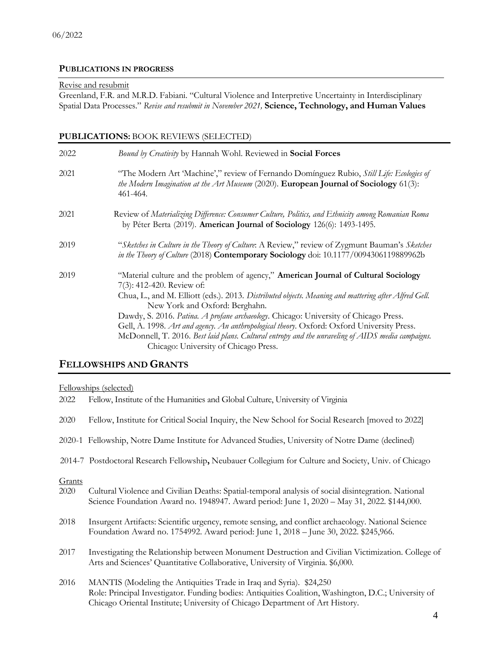### **PUBLICATIONS IN PROGRESS**

#### Revise and resubmit

Greenland, F.R. and M.R.D. Fabiani. "Cultural Violence and Interpretive Uncertainty in Interdisciplinary Spatial Data Processes." *Revise and resubmit in November 2021,* **Science, Technology, and Human Values**

# **PUBLICATIONS:** BOOK REVIEWS (SELECTED)

| 2022 | Bound by Creativity by Hannah Wohl. Reviewed in Social Forces                                                                                                                                                                                                                                                                                                                                                                                                                                                                                                                                   |
|------|-------------------------------------------------------------------------------------------------------------------------------------------------------------------------------------------------------------------------------------------------------------------------------------------------------------------------------------------------------------------------------------------------------------------------------------------------------------------------------------------------------------------------------------------------------------------------------------------------|
| 2021 | "The Modern Art 'Machine'," review of Fernando Domínguez Rubio, Still Life: Ecologies of<br>the Modern Imagination at the Art Museum (2020). European Journal of Sociology 61(3):<br>461-464.                                                                                                                                                                                                                                                                                                                                                                                                   |
| 2021 | Review of Materializing Difference: Consumer Culture, Politics, and Ethnicity among Romanian Roma<br>by Péter Berta (2019). American Journal of Sociology 126(6): 1493-1495.                                                                                                                                                                                                                                                                                                                                                                                                                    |
| 2019 | "Sketches in Culture in the Theory of Culture: A Review," review of Zygmunt Bauman's Sketches<br>in the Theory of Culture (2018) Contemporary Sociology doi: 10.1177/0094306119889962b                                                                                                                                                                                                                                                                                                                                                                                                          |
| 2019 | "Material culture and the problem of agency," American Journal of Cultural Sociology<br>7(3): 412-420. Review of:<br>Chua, L., and M. Elliott (eds.). 2013. Distributed objects. Meaning and mattering after Alfred Gell.<br>New York and Oxford: Berghahn.<br>Dawdy, S. 2016. Patina. A profane archaeology. Chicago: University of Chicago Press.<br>Gell, A. 1998. Art and agency. An anthropological theory. Oxford: Oxford University Press.<br>McDonnell, T. 2016. Best laid plans. Cultural entropy and the unraveling of AIDS media campaigns.<br>Chicago: University of Chicago Press. |

## **FELLOWSHIPS AND GRANTS**

Fellowships (selected)

| 2022           | Fellow, Institute of the Humanities and Global Culture, University of Virginia                                                                                                                                                                              |
|----------------|-------------------------------------------------------------------------------------------------------------------------------------------------------------------------------------------------------------------------------------------------------------|
| 2020           | Fellow, Institute for Critical Social Inquiry, the New School for Social Research [moved to 2022]                                                                                                                                                           |
|                | 2020-1 Fellowship, Notre Dame Institute for Advanced Studies, University of Notre Dame (declined)                                                                                                                                                           |
|                | 2014-7 Postdoctoral Research Fellowship, Neubauer Collegium for Culture and Society, Univ. of Chicago                                                                                                                                                       |
| Grants<br>2020 | Cultural Violence and Civilian Deaths: Spatial-temporal analysis of social disintegration. National<br>Science Foundation Award no. 1948947. Award period: June 1, 2020 – May 31, 2022. \$144,000.                                                          |
| 2018           | Insurgent Artifacts: Scientific urgency, remote sensing, and conflict archaeology. National Science<br>Foundation Award no. 1754992. Award period: June 1, 2018 - June 30, 2022. \$245,966.                                                                 |
| 2017           | Investigating the Relationship between Monument Destruction and Civilian Victimization. College of<br>Arts and Sciences' Quantitative Collaborative, University of Virginia. \$6,000.                                                                       |
| 2016           | MANTIS (Modeling the Antiquities Trade in Iraq and Syria). \$24,250<br>Role: Principal Investigator. Funding bodies: Antiquities Coalition, Washington, D.C.; University of<br>Chicago Oriental Institute; University of Chicago Department of Art History. |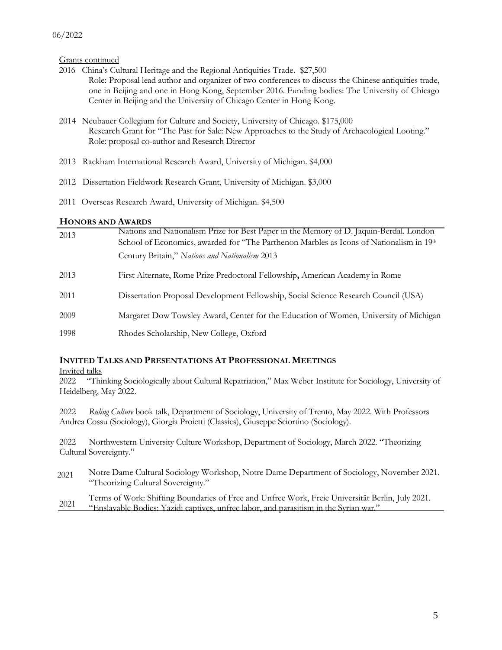Grants continued

- 2016 China's Cultural Heritage and the Regional Antiquities Trade. \$27,500 Role: Proposal lead author and organizer of two conferences to discuss the Chinese antiquities trade, one in Beijing and one in Hong Kong, September 2016. Funding bodies: The University of Chicago Center in Beijing and the University of Chicago Center in Hong Kong.
- 2014 Neubauer Collegium for Culture and Society, University of Chicago. \$175,000 Research Grant for "The Past for Sale: New Approaches to the Study of Archaeological Looting." Role: proposal co-author and Research Director
- 2013 Rackham International Research Award, University of Michigan. \$4,000
- 2012 Dissertation Fieldwork Research Grant, University of Michigan. \$3,000
- 2011 Overseas Research Award, University of Michigan. \$4,500

#### **HONORS AND AWARDS**

| 2013 | Nations and Nationalism Prize for Best Paper in the Memory of D. Jaquin-Berdal. London<br>School of Economics, awarded for "The Parthenon Marbles as Icons of Nationalism in 19th |
|------|-----------------------------------------------------------------------------------------------------------------------------------------------------------------------------------|
|      | Century Britain," Nations and Nationalism 2013                                                                                                                                    |
| 2013 | First Alternate, Rome Prize Predoctoral Fellowship, American Academy in Rome                                                                                                      |
| 2011 | Dissertation Proposal Development Fellowship, Social Science Research Council (USA)                                                                                               |
| 2009 | Margaret Dow Towsley Award, Center for the Education of Women, University of Michigan                                                                                             |
| 1998 | Rhodes Scholarship, New College, Oxford                                                                                                                                           |

### **INVITED TALKS AND PRESENTATIONS AT PROFESSIONAL MEETINGS**

Invited talks

2022 "Thinking Sociologically about Cultural Repatriation," Max Weber Institute for Sociology, University of Heidelberg, May 2022.

2022 *Ruling Culture* book talk, Department of Sociology, University of Trento, May 2022. With Professors Andrea Cossu (Sociology), Giorgia Proietti (Classics), Giuseppe Sciortino (Sociology).

2022 Northwestern University Culture Workshop, Department of Sociology, March 2022. "Theorizing Cultural Sovereignty."

2021 Notre Dame Cultural Sociology Workshop, Notre Dame Department of Sociology, November 2021. "Theorizing Cultural Sovereignty."

2021 Terms of Work: Shifting Boundaries of Free and Unfree Work, Freie Universität Berlin, July 2021. "Enslavable Bodies: Yazidi captives, unfree labor, and parasitism in the Syrian war."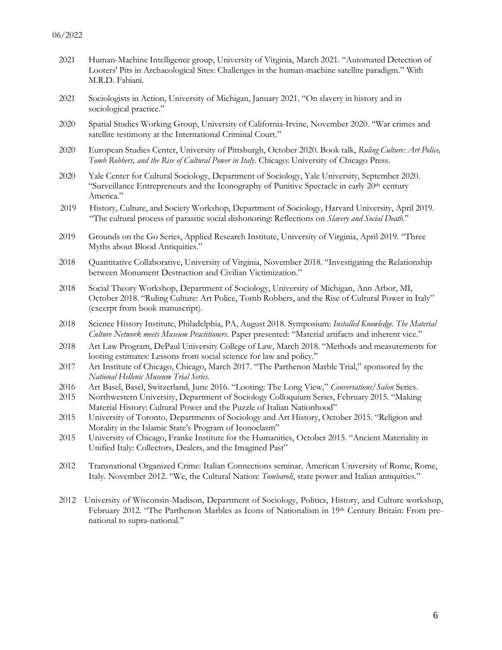- 2021 Human-Machine Intelligence group, University of Virginia, March 2021. "Automated Detection of Looters' Pits in Archaeological Sites: Challenges in the human-machine satellite paradigm." With M.R.D. Fabiani.
- 2021 Sociologists in Action, University of Michigan, January 2021. "On slavery in history and in sociological practice."
- 2020 Spatial Studies Working Group, University of California-Irvine, November 2020. "War crimes and satellite testimony at the International Criminal Court."
- 2020 European Studies Center, University of Pittsburgh, October 2020. Book talk, *Ruling Culture: Art Police, Tomb Robbers, and the Rise of Cultural Power in Italy*. Chicago: University of Chicago Press.
- 2020 Yale Center for Cultural Sociology, Department of Sociology, Yale University, September 2020. "Surveillance Entrepreneurs and the Iconography of Punitive Spectacle in early 20<sup>th</sup> century America."
- 2019 History, Culture, and Society Workshop, Department of Sociology, Harvard University, April 2019. "The cultural process of parasitic social dishonoring: Reflections on *Slavery and Social Death*."
- 2019 Grounds on the Go Series, Applied Research Institute, University of Virginia, April 2019. "Three Myths about Blood Antiquities."
- 2018 Quantitative Collaborative, University of Virginia, November 2018. "Investigating the Relationship between Monument Destruction and Civilian Victimization."
- 2018 Social Theory Workshop, Department of Sociology, University of Michigan, Ann Arbor, MI, October 2018. "Ruling Culture: Art Police, Tomb Robbers, and the Rise of Cultural Power in Italy" (excerpt from book manuscript).
- 2018 Science History Institute, Philadelphia, PA, August 2018. Symposium: *Installed Knowledge. The Material Culture Network meets Museum Practitioners.* Paper presented: "Material artifacts and inherent vice."
- 2018 Art Law Program, DePaul University College of Law, March 2018. "Methods and measurements for looting estimates: Lessons from social science for law and policy."
- 2017 Art Institute of Chicago, Chicago, March 2017. "The Parthenon Marble Trial," sponsored by the *National Hellenic Museum Trial Series.*
- 2016 Art Basel, Basel, Switzerland, June 2016. "Looting: The Long View," *Conversations/Salon* Series.
- 2015 Northwestern University, Department of Sociology Colloquium Series, February 2015. "Making Material History: Cultural Power and the Puzzle of Italian Nationhood"
- 2015 University of Toronto, Departments of Sociology and Art History, October 2015. "Religion and Morality in the Islamic State's Program of Iconoclasm"
- 2015 University of Chicago, Franke Institute for the Humanities, October 2015. "Ancient Materiality in Unified Italy: Collectors, Dealers, and the Imagined Past"
- 2012 Transnational Organized Crime: Italian Connections seminar. American University of Rome, Rome, Italy. November 2012. "We, the Cultural Nation: *Tombaroli*, state power and Italian antiquities."
- 2012 University of Wisconsin-Madison, Department of Sociology, Politics, History, and Culture workshop, February 2012. "The Parthenon Marbles as Icons of Nationalism in 19<sup>th</sup> Century Britain: From prenational to supra-national."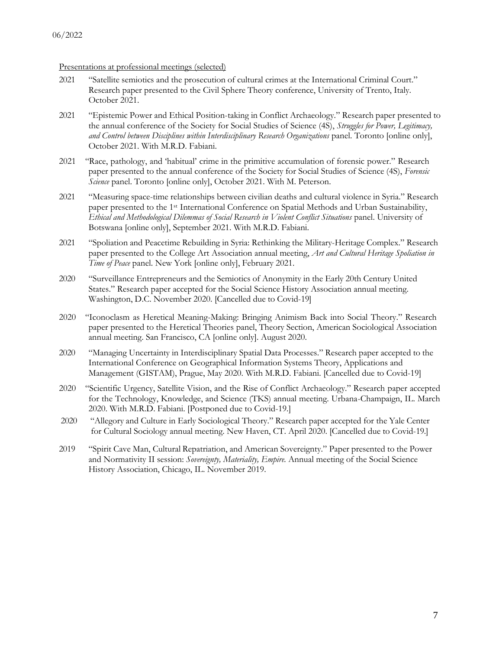Presentations at professional meetings (selected)

- 2021 "Satellite semiotics and the prosecution of cultural crimes at the International Criminal Court." Research paper presented to the Civil Sphere Theory conference, University of Trento, Italy. October 2021.
- 2021 "Epistemic Power and Ethical Position-taking in Conflict Archaeology." Research paper presented to the annual conference of the Society for Social Studies of Science (4S), *Struggles for Power, Legitimacy, and Control between Disciplines within Interdisciplinary Research Organizations* panel. Toronto [online only], October 2021. With M.R.D. Fabiani.
- 2021 "Race, pathology, and 'habitual' crime in the primitive accumulation of forensic power." Research paper presented to the annual conference of the Society for Social Studies of Science (4S), *Forensic Science* panel. Toronto [online only], October 2021. With M. Peterson.
- 2021 "Measuring space-time relationships between civilian deaths and cultural violence in Syria." Research paper presented to the 1st International Conference on Spatial Methods and Urban Sustainability, *Ethical and Methodological Dilemmas of Social Research in Violent Conflict Situations* panel. University of Botswana [online only], September 2021. With M.R.D. Fabiani.
- 2021 "Spoliation and Peacetime Rebuilding in Syria: Rethinking the Military-Heritage Complex." Research paper presented to the College Art Association annual meeting, *Art and Cultural Heritage Spoliation in Time of Peace* panel. New York [online only], February 2021.
- 2020 "Surveillance Entrepreneurs and the Semiotics of Anonymity in the Early 20th Century United States." Research paper accepted for the Social Science History Association annual meeting. Washington, D.C. November 2020. [Cancelled due to Covid-19]
- 2020 "Iconoclasm as Heretical Meaning-Making: Bringing Animism Back into Social Theory." Research paper presented to the Heretical Theories panel, Theory Section, American Sociological Association annual meeting. San Francisco, CA [online only]. August 2020.
- 2020 "Managing Uncertainty in Interdisciplinary Spatial Data Processes." Research paper accepted to the International Conference on Geographical Information Systems Theory, Applications and Management (GISTAM), Prague, May 2020. With M.R.D. Fabiani. [Cancelled due to Covid-19]
- 2020 "Scientific Urgency, Satellite Vision, and the Rise of Conflict Archaeology." Research paper accepted for the Technology, Knowledge, and Science (TKS) annual meeting. Urbana-Champaign, IL. March 2020. With M.R.D. Fabiani. [Postponed due to Covid-19.]
- 2020 "Allegory and Culture in Early Sociological Theory." Research paper accepted for the Yale Center for Cultural Sociology annual meeting. New Haven, CT. April 2020. [Cancelled due to Covid-19.]
- 2019 "Spirit Cave Man, Cultural Repatriation, and American Sovereignty." Paper presented to the Power and Normativity II session: *Sovereignty, Materiality, Empire.* Annual meeting of the Social Science History Association, Chicago, IL. November 2019.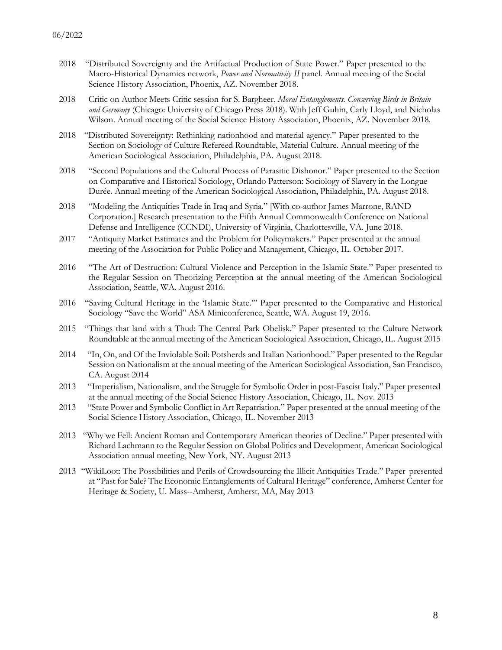- 2018 "Distributed Sovereignty and the Artifactual Production of State Power." Paper presented to the Macro-Historical Dynamics network, *Power and Normativity II* panel. Annual meeting of the Social Science History Association, Phoenix, AZ. November 2018.
- 2018 Critic on Author Meets Critic session for S. Bargheer, *Moral Entanglements. Conserving Birds in Britain and Germany* (Chicago: University of Chicago Press 2018). With Jeff Guhin, Carly Lloyd, and Nicholas Wilson. Annual meeting of the Social Science History Association, Phoenix, AZ. November 2018.
- 2018 "Distributed Sovereignty: Rethinking nationhood and material agency." Paper presented to the Section on Sociology of Culture Refereed Roundtable, Material Culture. Annual meeting of the American Sociological Association, Philadelphia, PA. August 2018.
- 2018 "Second Populations and the Cultural Process of Parasitic Dishonor." Paper presented to the Section on Comparative and Historical Sociology, Orlando Patterson: Sociology of Slavery in the Longue Durée. Annual meeting of the American Sociological Association, Philadelphia, PA. August 2018.
- 2018 "Modeling the Antiquities Trade in Iraq and Syria." [With co-author James Marrone, RAND Corporation.] Research presentation to the Fifth Annual Commonwealth Conference on National Defense and Intelligence (CCNDI), University of Virginia, Charlottesville, VA. June 2018.
- 2017 "Antiquity Market Estimates and the Problem for Policymakers." Paper presented at the annual meeting of the Association for Public Policy and Management, Chicago, IL. October 2017.
- 2016 "The Art of Destruction: Cultural Violence and Perception in the Islamic State." Paper presented to the Regular Session on Theorizing Perception at the annual meeting of the American Sociological Association, Seattle, WA. August 2016.
- 2016 "Saving Cultural Heritage in the 'Islamic State.'" Paper presented to the Comparative and Historical Sociology "Save the World" ASA Miniconference, Seattle, WA. August 19, 2016.
- 2015 "Things that land with a Thud: The Central Park Obelisk." Paper presented to the Culture Network Roundtable at the annual meeting of the American Sociological Association, Chicago, IL. August 2015
- 2014 "In, On, and Of the Inviolable Soil: Potsherds and Italian Nationhood." Paper presented to the Regular Session on Nationalism at the annual meeting of the American Sociological Association, San Francisco, CA. August 2014
- 2013 "Imperialism, Nationalism, and the Struggle for Symbolic Order in post-Fascist Italy." Paper presented at the annual meeting of the Social Science History Association, Chicago, IL. Nov. 2013
- 2013 "State Power and Symbolic Conflict in Art Repatriation." Paper presented at the annual meeting of the Social Science History Association, Chicago, IL. November 2013
- 2013 "Why we Fell: Ancient Roman and Contemporary American theories of Decline." Paper presented with Richard Lachmann to the Regular Session on Global Politics and Development, American Sociological Association annual meeting, New York, NY. August 2013
- 2013 "WikiLoot: The Possibilities and Perils of Crowdsourcing the Illicit Antiquities Trade." Paper presented at "Past for Sale? The Economic Entanglements of Cultural Heritage" conference, Amherst Center for Heritage & Society, U. Mass--Amherst, Amherst, MA, May 2013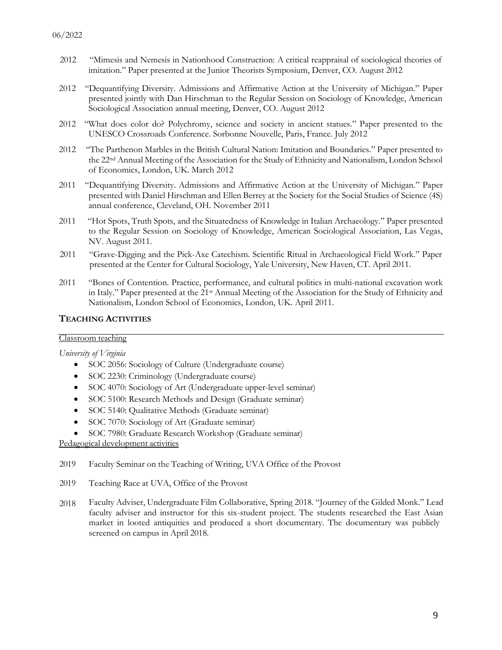- 2012 "Mimesis and Nemesis in Nationhood Construction: A critical reappraisal of sociological theories of imitation." Paper presented at the Junior Theorists Symposium, Denver, CO. August 2012
- 2012 "Dequantifying Diversity. Admissions and Affirmative Action at the University of Michigan." Paper presented jointly with Dan Hirschman to the Regular Session on Sociology of Knowledge, American Sociological Association annual meeting, Denver, CO. August 2012
- 2012 "What does color do? Polychromy, science and society in ancient statues." Paper presented to the UNESCO Crossroads Conference. Sorbonne Nouvelle, Paris, France. July 2012
- 2012 "The Parthenon Marbles in the British Cultural Nation: Imitation and Boundaries." Paper presented to the 22nd Annual Meeting of the Association for the Study of Ethnicity and Nationalism, London School of Economics, London, UK. March 2012
- 2011 "Dequantifying Diversity. Admissions and Affirmative Action at the University of Michigan." Paper presented with Daniel Hirschman and Ellen Berrey at the Society for the Social Studies of Science (4S) annual conference, Cleveland, OH. November 2011
- 2011 "Hot Spots, Truth Spots, and the Situatedness of Knowledge in Italian Archaeology." Paper presented to the Regular Session on Sociology of Knowledge, American Sociological Association, Las Vegas, NV. August 2011.
- 2011 "Grave-Digging and the Pick-Axe Catechism. Scientific Ritual in Archaeological Field Work." Paper presented at the Center for Cultural Sociology, Yale University, New Haven, CT. April 2011.
- 2011 "Bones of Contention. Practice, performance, and cultural politics in multi-national excavation work in Italy." Paper presented at the 21st Annual Meeting of the Association for the Study of Ethnicity and Nationalism, London School of Economics, London, UK. April 2011.

### **TEACHING ACTIVITIES**

### Classroom teaching

*University of Virginia*

- SOC 2056: Sociology of Culture (Undergraduate course)
- SOC 2230: Criminology (Undergraduate course)
- SOC 4070: Sociology of Art (Undergraduate upper-level seminar)
- SOC 5100: Research Methods and Design (Graduate seminar)
- SOC 5140: Qualitative Methods (Graduate seminar)
- SOC 7070: Sociology of Art (Graduate seminar)
- SOC 7980: Graduate Research Workshop (Graduate seminar)

Pedagogical development activities

- 2019 Faculty Seminar on the Teaching of Writing, UVA Office of the Provost
- 2019 Teaching Race at UVA, Office of the Provost
- 2018 Faculty Adviser, Undergraduate Film Collaborative, Spring 2018. "Journey of the Gilded Monk." Lead faculty adviser and instructor for this six-student project. The students researched the East Asian market in looted antiquities and produced a short documentary. The documentary was publicly screened on campus in April 2018.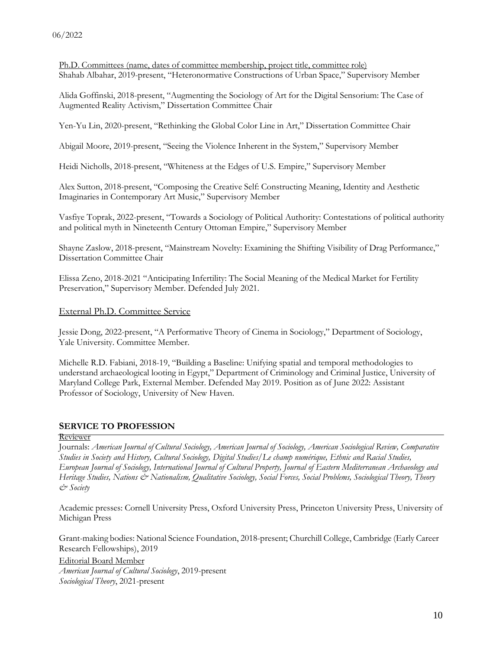Ph.D. Committees (name, dates of committee membership, project title, committee role) Shahab Albahar, 2019-present, "Heteronormative Constructions of Urban Space," Supervisory Member

Alida Goffinski, 2018-present, "Augmenting the Sociology of Art for the Digital Sensorium: The Case of Augmented Reality Activism," Dissertation Committee Chair

Yen-Yu Lin, 2020-present, "Rethinking the Global Color Line in Art," Dissertation Committee Chair

Abigail Moore, 2019-present, "Seeing the Violence Inherent in the System," Supervisory Member

Heidi Nicholls, 2018-present, "Whiteness at the Edges of U.S. Empire," Supervisory Member

Alex Sutton, 2018-present, "Composing the Creative Self: Constructing Meaning, Identity and Aesthetic Imaginaries in Contemporary Art Music," Supervisory Member

Vasfiye Toprak, 2022-present, "Towards a Sociology of Political Authority: Contestations of political authority and political myth in Nineteenth Century Ottoman Empire," Supervisory Member

Shayne Zaslow, 2018-present, "Mainstream Novelty: Examining the Shifting Visibility of Drag Performance," Dissertation Committee Chair

Elissa Zeno, 2018-2021 "Anticipating Infertility: The Social Meaning of the Medical Market for Fertility Preservation," Supervisory Member. Defended July 2021.

#### External Ph.D. Committee Service

Jessie Dong, 2022-present, "A Performative Theory of Cinema in Sociology," Department of Sociology, Yale University. Committee Member.

Michelle R.D. Fabiani, 2018-19, "Building a Baseline: Unifying spatial and temporal methodologies to understand archaeological looting in Egypt," Department of Criminology and Criminal Justice, University of Maryland College Park, External Member. Defended May 2019. Position as of June 2022: Assistant Professor of Sociology, University of New Haven.

### **SERVICE TO PROFESSION**

#### Reviewer

Journals: *American Journal of Cultural Sociology, American Journal of Sociology, American Sociological Review, Comparative Studies in Society and History, Cultural Sociology, Digital Studies/Le champ numérique, Ethnic and Racial Studies, European Journal of Sociology, International Journal of Cultural Property, Journal of Eastern Mediterranean Archaeology and Heritage Studies, Nations & Nationalism, Qualitative Sociology, Social Forces, Social Problems, Sociological Theory, Theory & Society*

Academic presses: Cornell University Press, Oxford University Press, Princeton University Press, University of Michigan Press

Grant-making bodies: National Science Foundation, 2018-present; Churchill College, Cambridge (Early Career Research Fellowships), 2019

Editorial Board Member

*American Journal of Cultural Sociology*, 2019-present *Sociological Theory*, 2021-present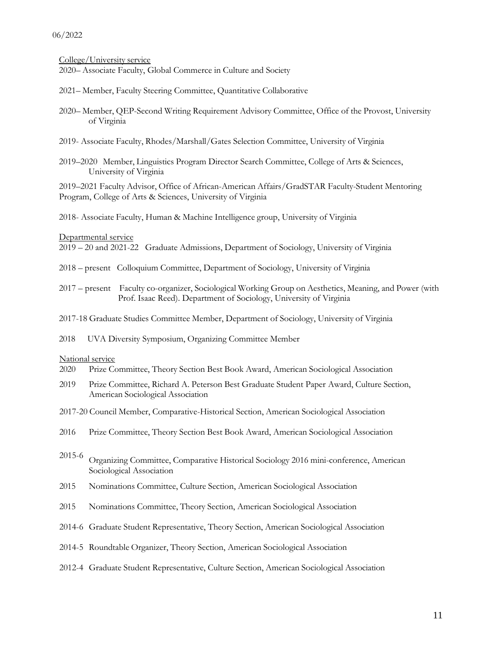College/University service

2020– Associate Faculty, Global Commerce in Culture and Society

- 2021– Member, Faculty Steering Committee, Quantitative Collaborative
- 2020– Member, QEP-Second Writing Requirement Advisory Committee, Office of the Provost, University of Virginia
- 2019- Associate Faculty, Rhodes/Marshall/Gates Selection Committee, University of Virginia
- 2019–2020 Member, Linguistics Program Director Search Committee, College of Arts & Sciences, University of Virginia

2019–2021 Faculty Advisor, Office of African-American Affairs/GradSTAR Faculty-Student Mentoring Program, College of Arts & Sciences, University of Virginia

2018- Associate Faculty, Human & Machine Intelligence group, University of Virginia

Departmental service

2019 – 20 and 2021-22 Graduate Admissions, Department of Sociology, University of Virginia

- 2018 present Colloquium Committee, Department of Sociology, University of Virginia
- 2017 present Faculty co-organizer, Sociological Working Group on Aesthetics, Meaning, and Power (with Prof. Isaac Reed). Department of Sociology, University of Virginia

2017-18 Graduate Studies Committee Member, Department of Sociology, University of Virginia

2018 UVA Diversity Symposium, Organizing Committee Member

#### National service

- 2020 Prize Committee, Theory Section Best Book Award, American Sociological Association
- 2019 Prize Committee, Richard A. Peterson Best Graduate Student Paper Award, Culture Section, American Sociological Association
- 2017-20 Council Member, Comparative-Historical Section, American Sociological Association
- 2016 Prize Committee, Theory Section Best Book Award, American Sociological Association
- 2015-6 Organizing Committee, Comparative Historical Sociology <sup>2016</sup> mini-conference, American Sociological Association
- 2015 Nominations Committee, Culture Section, American Sociological Association
- 2015 Nominations Committee, Theory Section, American Sociological Association
- 2014-6 Graduate Student Representative, Theory Section, American Sociological Association
- 2014-5 Roundtable Organizer, Theory Section, American Sociological Association
- 2012-4 Graduate Student Representative, Culture Section, American Sociological Association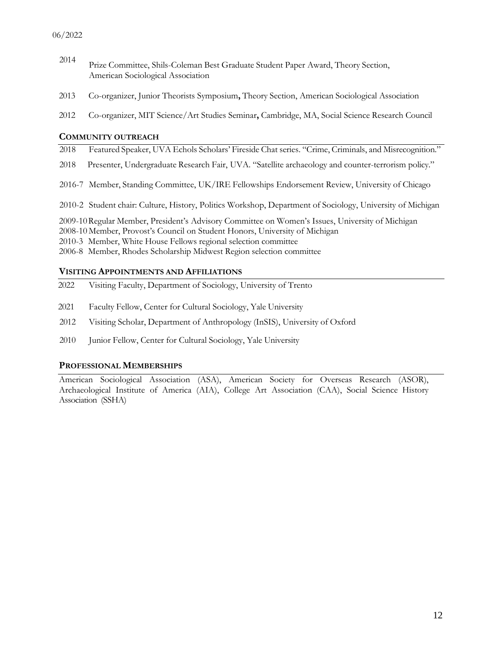- <sup>2014</sup> Prize Committee, Shils-Coleman Best Graduate Student Paper Award, Theory Section, American Sociological Association
- 2013 Co-organizer, Junior Theorists Symposium**,** Theory Section, American Sociological Association
- 2012 Co-organizer, MIT Science/Art Studies Seminar**,** Cambridge, MA, Social Science Research Council

#### **COMMUNITY OUTREACH**

- 2018 Featured Speaker, UVA Echols Scholars' Fireside Chat series. "Crime, Criminals, and Misrecognition."
- 2018 Presenter, Undergraduate Research Fair, UVA. "Satellite archaeology and counter-terrorism policy."
- 2016-7 Member, Standing Committee, UK/IRE Fellowships Endorsement Review, University of Chicago
- 2010-2 Student chair: Culture, History, Politics Workshop, Department of Sociology, University of Michigan

2009-10Regular Member, President's Advisory Committee on Women's Issues, University of Michigan

2008-10 Member, Provost's Council on Student Honors, University of Michigan

2010-3 Member, White House Fellows regional selection committee

2006-8 Member, Rhodes Scholarship Midwest Region selection committee

#### **VISITING APPOINTMENTS AND AFFILIATIONS**

- 2022 Visiting Faculty, Department of Sociology, University of Trento
- 2021 Faculty Fellow, Center for Cultural Sociology, Yale University
- 2012 Visiting Scholar, Department of Anthropology (InSIS), University of Oxford
- 2010 Junior Fellow, Center for Cultural Sociology, Yale University

### **PROFESSIONAL MEMBERSHIPS**

American Sociological Association (ASA), American Society for Overseas Research (ASOR), Archaeological Institute of America (AIA), College Art Association (CAA), Social Science History Association (SSHA)